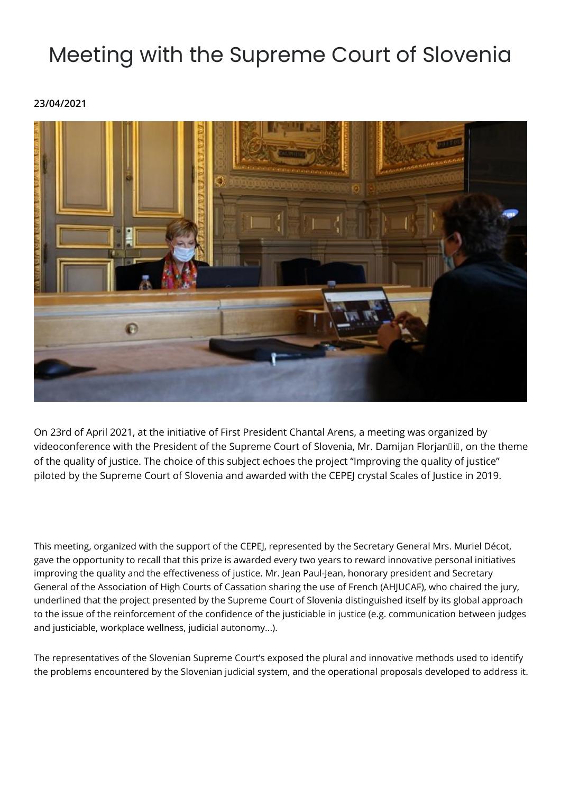## Meeting with the Supreme Court of Slovenia

**23/04/2021**



On 23rd of April 2021, at the initiative of First President Chantal Arens, a meeting was organized by videoconference with the President of the Supreme Court of Slovenia, Mr. Damijan FlorjanDiD, on the theme of the quality of justice. The choice of this subject echoes the project "Improving the quality of justice" piloted by the Supreme Court of Slovenia and awarded with the CEPEJ crystal Scales of Justice in 2019.

This meeting, organized with the support of the CEPEJ, represented by the Secretary General Mrs. Muriel Décot, gave the opportunity to recall that this prize is awarded every two years to reward innovative personal initiatives improving the quality and the effectiveness of justice. Mr. Jean Paul-Jean, honorary president and Secretary General of the Association of High Courts of Cassation sharing the use of French (AHJUCAF), who chaired the jury, underlined that the project presented by the Supreme Court of Slovenia distinguished itself by its global approach to the issue of the reinforcement of the confidence of the justiciable in justice (e.g. communication between judges and justiciable, workplace wellness, judicial autonomy...).

The representatives of the Slovenian Supreme Court's exposed the plural and innovative methods used to identify the problems encountered by the Slovenian judicial system, and the operational proposals developed to address it.